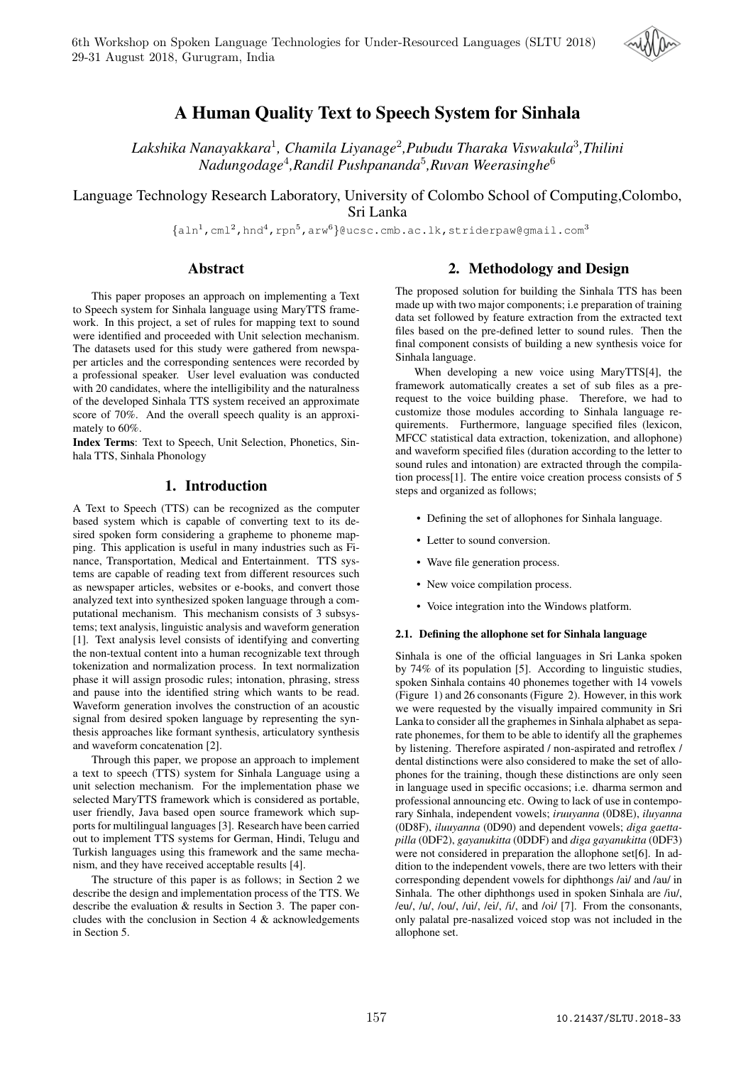

# A Human Quality Text to Speech System for Sinhala

*Lakshika Nanayakkara*<sup>1</sup> *, Chamila Liyanage*<sup>2</sup> *,Pubudu Tharaka Viswakula*<sup>3</sup> *,Thilini Nadungodage*<sup>4</sup> *,Randil Pushpananda*<sup>5</sup> *,Ruvan Weerasinghe*<sup>6</sup>

Language Technology Research Laboratory, University of Colombo School of Computing,Colombo, Sri Lanka

 $\{\text{aln}^1, \text{cm}^2, \text{hnd}^4, \text{rpn}^5, \text{arw}^6\}$ @ucsc.cmb.ac.lk,striderpaw@gmail.com<sup>3</sup>

# Abstract

This paper proposes an approach on implementing a Text to Speech system for Sinhala language using MaryTTS framework. In this project, a set of rules for mapping text to sound were identified and proceeded with Unit selection mechanism. The datasets used for this study were gathered from newspaper articles and the corresponding sentences were recorded by a professional speaker. User level evaluation was conducted with 20 candidates, where the intelligibility and the naturalness of the developed Sinhala TTS system received an approximate score of 70%. And the overall speech quality is an approximately to 60%.

Index Terms: Text to Speech, Unit Selection, Phonetics, Sinhala TTS, Sinhala Phonology

# 1. Introduction

A Text to Speech (TTS) can be recognized as the computer based system which is capable of converting text to its desired spoken form considering a grapheme to phoneme mapping. This application is useful in many industries such as Finance, Transportation, Medical and Entertainment. TTS systems are capable of reading text from different resources such as newspaper articles, websites or e-books, and convert those analyzed text into synthesized spoken language through a computational mechanism. This mechanism consists of 3 subsystems; text analysis, linguistic analysis and waveform generation [1]. Text analysis level consists of identifying and converting the non-textual content into a human recognizable text through tokenization and normalization process. In text normalization phase it will assign prosodic rules; intonation, phrasing, stress and pause into the identified string which wants to be read. Waveform generation involves the construction of an acoustic signal from desired spoken language by representing the synthesis approaches like formant synthesis, articulatory synthesis and waveform concatenation [2].

Through this paper, we propose an approach to implement a text to speech (TTS) system for Sinhala Language using a unit selection mechanism. For the implementation phase we selected MaryTTS framework which is considered as portable, user friendly, Java based open source framework which supports for multilingual languages [3]. Research have been carried out to implement TTS systems for German, Hindi, Telugu and Turkish languages using this framework and the same mechanism, and they have received acceptable results [4].

The structure of this paper is as follows; in Section 2 we describe the design and implementation process of the TTS. We describe the evaluation & results in Section 3. The paper concludes with the conclusion in Section 4 & acknowledgements in Section 5.

# 2. Methodology and Design

The proposed solution for building the Sinhala TTS has been made up with two major components; i.e preparation of training data set followed by feature extraction from the extracted text files based on the pre-defined letter to sound rules. Then the final component consists of building a new synthesis voice for Sinhala language.

When developing a new voice using MaryTTS[4], the framework automatically creates a set of sub files as a prerequest to the voice building phase. Therefore, we had to customize those modules according to Sinhala language requirements. Furthermore, language specified files (lexicon, MFCC statistical data extraction, tokenization, and allophone) and waveform specified files (duration according to the letter to sound rules and intonation) are extracted through the compilation process[1]. The entire voice creation process consists of 5 steps and organized as follows;

- Defining the set of allophones for Sinhala language.
- Letter to sound conversion.
- Wave file generation process.
- New voice compilation process.
- Voice integration into the Windows platform.

#### 2.1. Defining the allophone set for Sinhala language

Sinhala is one of the official languages in Sri Lanka spoken by 74% of its population [5]. According to linguistic studies, spoken Sinhala contains 40 phonemes together with 14 vowels (Figure 1) and 26 consonants (Figure 2). However, in this work we were requested by the visually impaired community in Sri Lanka to consider all the graphemes in Sinhala alphabet as separate phonemes, for them to be able to identify all the graphemes by listening. Therefore aspirated / non-aspirated and retroflex / dental distinctions were also considered to make the set of allophones for the training, though these distinctions are only seen in language used in specific occasions; i.e. dharma sermon and professional announcing etc. Owing to lack of use in contemporary Sinhala, independent vowels; *iruuyanna* (0D8E), *iluyanna* (0D8F), *iluuyanna* (0D90) and dependent vowels; *diga gaettapilla* (0DF2), *gayanukitta* (0DDF) and *diga gayanukitta* (0DF3) were not considered in preparation the allophone set[6]. In addition to the independent vowels, there are two letters with their corresponding dependent vowels for diphthongs /ai/ and /au/ in Sinhala. The other diphthongs used in spoken Sinhala are /iu/, /eu/, /u/, /ou/, /ui/, /ei/, /i/, and /oi/ [7]. From the consonants, only palatal pre-nasalized voiced stop was not included in the allophone set.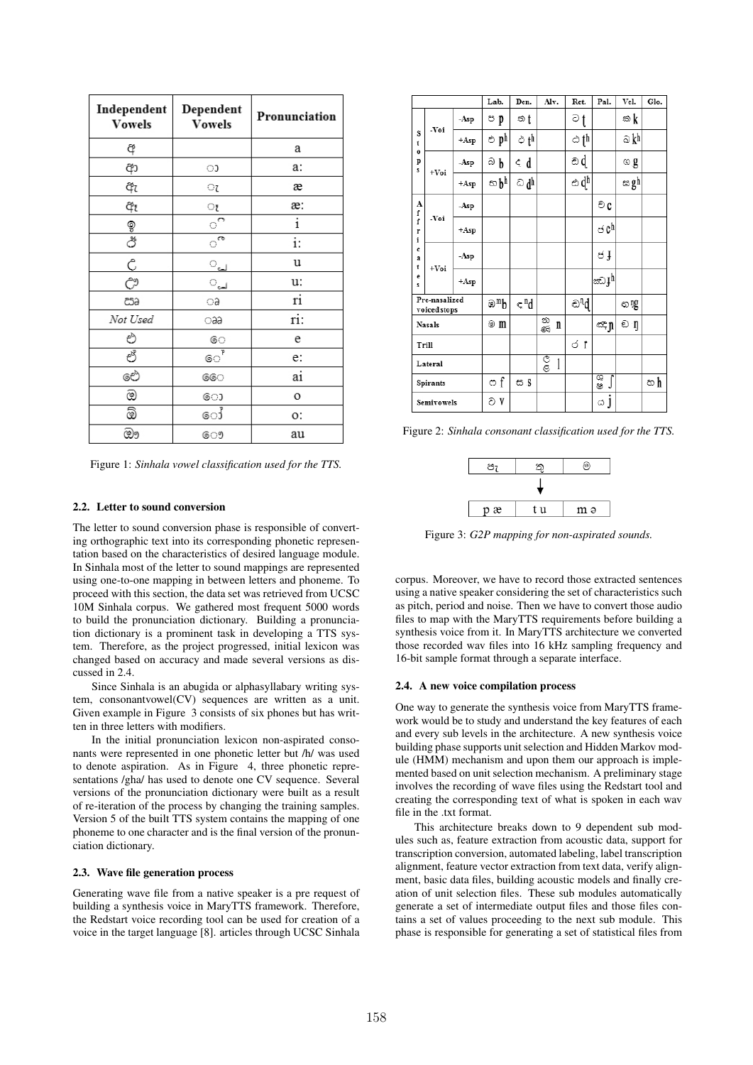| Independent<br><b>Vowels</b>   | Dependent<br><b>Vowels</b> | Pronunciation |
|--------------------------------|----------------------------|---------------|
| ą                              |                            | а             |
| ආ                              | ා                          | a:            |
| ඇ                              | ্য                         | æ             |
| අ₹                             | ্য                         | æ:            |
|                                | $\circ$                    | $\mathbf i$   |
| 9<br>ඊ                         | ే                          | $\ddot{i}$ :  |
| Ĉ                              | <u>്പ</u>                  | u             |
| $\tilde{C}^{\mathfrak{A}}_{-}$ | ୍ୟୁ                        | u:            |
| සෘ                             | ಾ                          | ri            |
| Not Used                       | aa                         | ri:           |
| එ                              | ෙ                          | e             |
| లీ                             | $\circ\circ\overline{P}$   | e:            |
| ඓ                              | ෛ                          | ai            |
| ඔ                              | ො                          | O             |
| ඕ                              | ෝ                          | о:            |
| ඖ                              | ෞ                          | au            |

Figure 1: *Sinhala vowel classification used for the TTS.*

### 2.2. Letter to sound conversion

The letter to sound conversion phase is responsible of converting orthographic text into its corresponding phonetic representation based on the characteristics of desired language module. In Sinhala most of the letter to sound mappings are represented using one-to-one mapping in between letters and phoneme. To proceed with this section, the data set was retrieved from UCSC 10M Sinhala corpus. We gathered most frequent 5000 words to build the pronunciation dictionary. Building a pronunciation dictionary is a prominent task in developing a TTS system. Therefore, as the project progressed, initial lexicon was changed based on accuracy and made several versions as discussed in 2.4.

Since Sinhala is an abugida or alphasyllabary writing system, consonantvowel(CV) sequences are written as a unit. Given example in Figure 3 consists of six phones but has written in three letters with modifiers.

In the initial pronunciation lexicon non-aspirated consonants were represented in one phonetic letter but /h/ was used to denote aspiration. As in Figure 4, three phonetic representations /gha/ has used to denote one CV sequence. Several versions of the pronunciation dictionary were built as a result of re-iteration of the process by changing the training samples. Version 5 of the built TTS system contains the mapping of one phoneme to one character and is the final version of the pronunciation dictionary.

#### 2.3. Wave file generation process

Generating wave file from a native speaker is a pre request of building a synthesis voice in MaryTTS framework. Therefore, the Redstart voice recording tool can be used for creation of a voice in the target language [8]. articles through UCSC Sinhala

|             |                                                     |        | Lab.      | Den.             | Alv.    | Ret.             | Pal.               | Vel.    | Glo. |
|-------------|-----------------------------------------------------|--------|-----------|------------------|---------|------------------|--------------------|---------|------|
|             | -Voi<br>s<br>t<br>$\mathbf{o}$<br>p<br>s<br>$+V_0i$ | -Asp   | ප p       | ත †              |         | ව †              |                    | ක k     |      |
|             |                                                     | $+Asp$ | එ ph      | ථ t <sup>h</sup> |         | ඨ † h            |                    | ඛ kʰ    |      |
|             |                                                     | $-Asp$ | බ<br>b    | € d              |         | ඩd               |                    | ග g     |      |
|             |                                                     | $+Asp$ | භbh       | ධdੁ              |         | ඨ dh             |                    | ස gh    |      |
| A<br>f      |                                                     | $-Asp$ |           |                  |         |                  | ව c                |         |      |
| f<br>r<br>i | -Voi                                                | $+Asp$ |           |                  |         |                  | ch ک               |         |      |
| c<br>a<br>t | $+V_0i$                                             | $-Asp$ |           |                  |         |                  | త ,                |         |      |
| e<br>s      |                                                     | $+Asp$ |           |                  |         |                  | ಜ್} <sup>h</sup>   |         |      |
|             | Pre-nasalized<br>voiced stops                       |        | ⊛™b       | ≂"d              |         | ව <sup>¶</sup> ර |                    | ග 11G   |      |
|             | <b>Nasals</b>                                       |        | @ m       |                  | තු<br>n |                  | ∝ņ                 | ඩ<br>'n |      |
|             | Trill                                               |        |           |                  |         | σr               |                    |         |      |
|             | Lateral                                             |        |           |                  | ලී<br>1 |                  |                    |         |      |
|             | Spirants                                            |        | $\circ$ f | ස \$             |         |                  | 63<br>68<br>$\int$ |         | හh   |
|             | Semivowels                                          |        | වV        |                  |         |                  | ය ]                |         |      |

Figure 2: *Sinhala consonant classification used for the TTS.*

| ∘≏ | ৩   |     |  |  |  |  |
|----|-----|-----|--|--|--|--|
|    |     |     |  |  |  |  |
| рæ | t u | m ə |  |  |  |  |

Figure 3: *G2P mapping for non-aspirated sounds.*

corpus. Moreover, we have to record those extracted sentences using a native speaker considering the set of characteristics such as pitch, period and noise. Then we have to convert those audio files to map with the MaryTTS requirements before building a synthesis voice from it. In MaryTTS architecture we converted those recorded wav files into 16 kHz sampling frequency and 16-bit sample format through a separate interface.

#### 2.4. A new voice compilation process

One way to generate the synthesis voice from MaryTTS framework would be to study and understand the key features of each and every sub levels in the architecture. A new synthesis voice building phase supports unit selection and Hidden Markov module (HMM) mechanism and upon them our approach is implemented based on unit selection mechanism. A preliminary stage involves the recording of wave files using the Redstart tool and creating the corresponding text of what is spoken in each wav file in the .txt format.

This architecture breaks down to 9 dependent sub modules such as, feature extraction from acoustic data, support for transcription conversion, automated labeling, label transcription alignment, feature vector extraction from text data, verify alignment, basic data files, building acoustic models and finally creation of unit selection files. These sub modules automatically generate a set of intermediate output files and those files contains a set of values proceeding to the next sub module. This phase is responsible for generating a set of statistical files from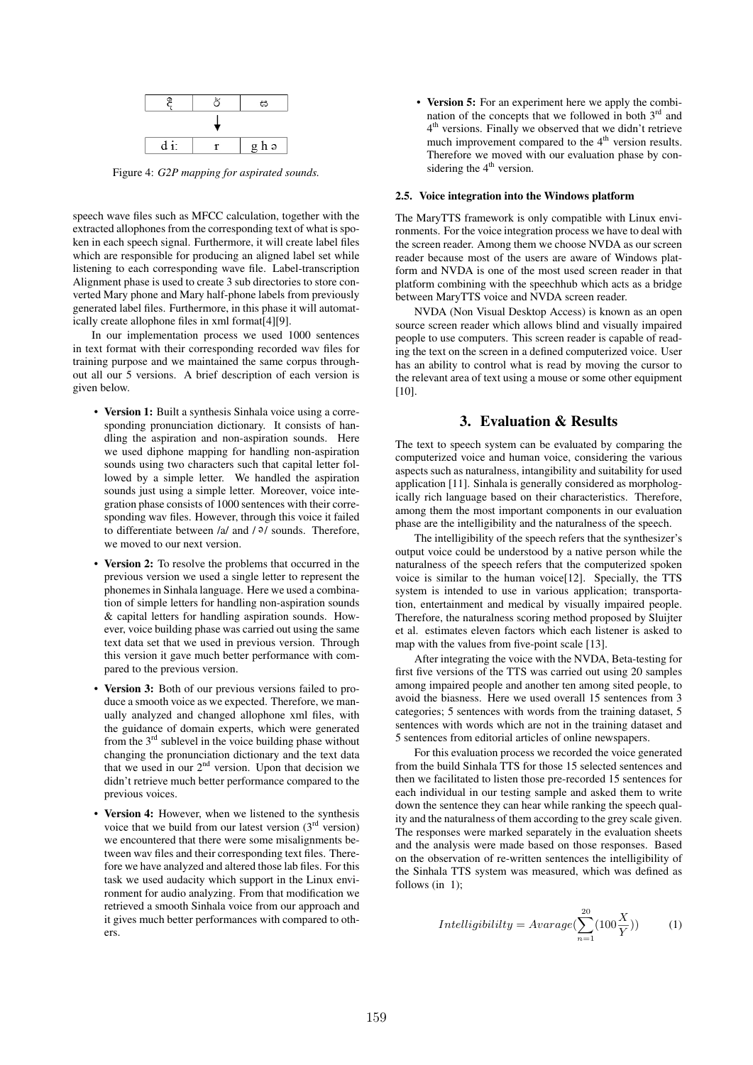

Figure 4: *G2P mapping for aspirated sounds.*

speech wave files such as MFCC calculation, together with the extracted allophones from the corresponding text of what is spoken in each speech signal. Furthermore, it will create label files which are responsible for producing an aligned label set while listening to each corresponding wave file. Label-transcription Alignment phase is used to create 3 sub directories to store converted Mary phone and Mary half-phone labels from previously generated label files. Furthermore, in this phase it will automatically create allophone files in xml format[4][9].

In our implementation process we used 1000 sentences in text format with their corresponding recorded wav files for training purpose and we maintained the same corpus throughout all our 5 versions. A brief description of each version is given below.

- Version 1: Built a synthesis Sinhala voice using a corresponding pronunciation dictionary. It consists of handling the aspiration and non-aspiration sounds. Here we used diphone mapping for handling non-aspiration sounds using two characters such that capital letter followed by a simple letter. We handled the aspiration sounds just using a simple letter. Moreover, voice integration phase consists of 1000 sentences with their corresponding wav files. However, through this voice it failed to differentiate between /a/ and  $/9/$  sounds. Therefore, we moved to our next version.
- Version 2: To resolve the problems that occurred in the previous version we used a single letter to represent the phonemes in Sinhala language. Here we used a combination of simple letters for handling non-aspiration sounds & capital letters for handling aspiration sounds. However, voice building phase was carried out using the same text data set that we used in previous version. Through this version it gave much better performance with compared to the previous version.
- Version 3: Both of our previous versions failed to produce a smooth voice as we expected. Therefore, we manually analyzed and changed allophone xml files, with the guidance of domain experts, which were generated from the  $3<sup>rd</sup>$  sublevel in the voice building phase without changing the pronunciation dictionary and the text data that we used in our  $2<sup>nd</sup>$  version. Upon that decision we didn't retrieve much better performance compared to the previous voices.
- Version 4: However, when we listened to the synthesis voice that we build from our latest version  $(3<sup>rd</sup>$  version) we encountered that there were some misalignments between wav files and their corresponding text files. Therefore we have analyzed and altered those lab files. For this task we used audacity which support in the Linux environment for audio analyzing. From that modification we retrieved a smooth Sinhala voice from our approach and it gives much better performances with compared to others.

• Version 5: For an experiment here we apply the combination of the concepts that we followed in both 3<sup>rd</sup> and 4 th versions. Finally we observed that we didn't retrieve much improvement compared to the  $4<sup>th</sup>$  version results. Therefore we moved with our evaluation phase by considering the  $4<sup>th</sup>$  version.

#### 2.5. Voice integration into the Windows platform

The MaryTTS framework is only compatible with Linux environments. For the voice integration process we have to deal with the screen reader. Among them we choose NVDA as our screen reader because most of the users are aware of Windows platform and NVDA is one of the most used screen reader in that platform combining with the speechhub which acts as a bridge between MaryTTS voice and NVDA screen reader.

NVDA (Non Visual Desktop Access) is known as an open source screen reader which allows blind and visually impaired people to use computers. This screen reader is capable of reading the text on the screen in a defined computerized voice. User has an ability to control what is read by moving the cursor to the relevant area of text using a mouse or some other equipment [10].

### 3. Evaluation & Results

The text to speech system can be evaluated by comparing the computerized voice and human voice, considering the various aspects such as naturalness, intangibility and suitability for used application [11]. Sinhala is generally considered as morphologically rich language based on their characteristics. Therefore, among them the most important components in our evaluation phase are the intelligibility and the naturalness of the speech.

The intelligibility of the speech refers that the synthesizer's output voice could be understood by a native person while the naturalness of the speech refers that the computerized spoken voice is similar to the human voice[12]. Specially, the TTS system is intended to use in various application; transportation, entertainment and medical by visually impaired people. Therefore, the naturalness scoring method proposed by Sluijter et al. estimates eleven factors which each listener is asked to map with the values from five-point scale [13].

After integrating the voice with the NVDA, Beta-testing for first five versions of the TTS was carried out using 20 samples among impaired people and another ten among sited people, to avoid the biasness. Here we used overall 15 sentences from 3 categories; 5 sentences with words from the training dataset, 5 sentences with words which are not in the training dataset and 5 sentences from editorial articles of online newspapers.

For this evaluation process we recorded the voice generated from the build Sinhala TTS for those 15 selected sentences and then we facilitated to listen those pre-recorded 15 sentences for each individual in our testing sample and asked them to write down the sentence they can hear while ranking the speech quality and the naturalness of them according to the grey scale given. The responses were marked separately in the evaluation sheets and the analysis were made based on those responses. Based on the observation of re-written sentences the intelligibility of the Sinhala TTS system was measured, which was defined as follows (in 1);

$$
Intelligibility = Average(\sum_{n=1}^{20} (100\frac{X}{Y}))
$$
 (1)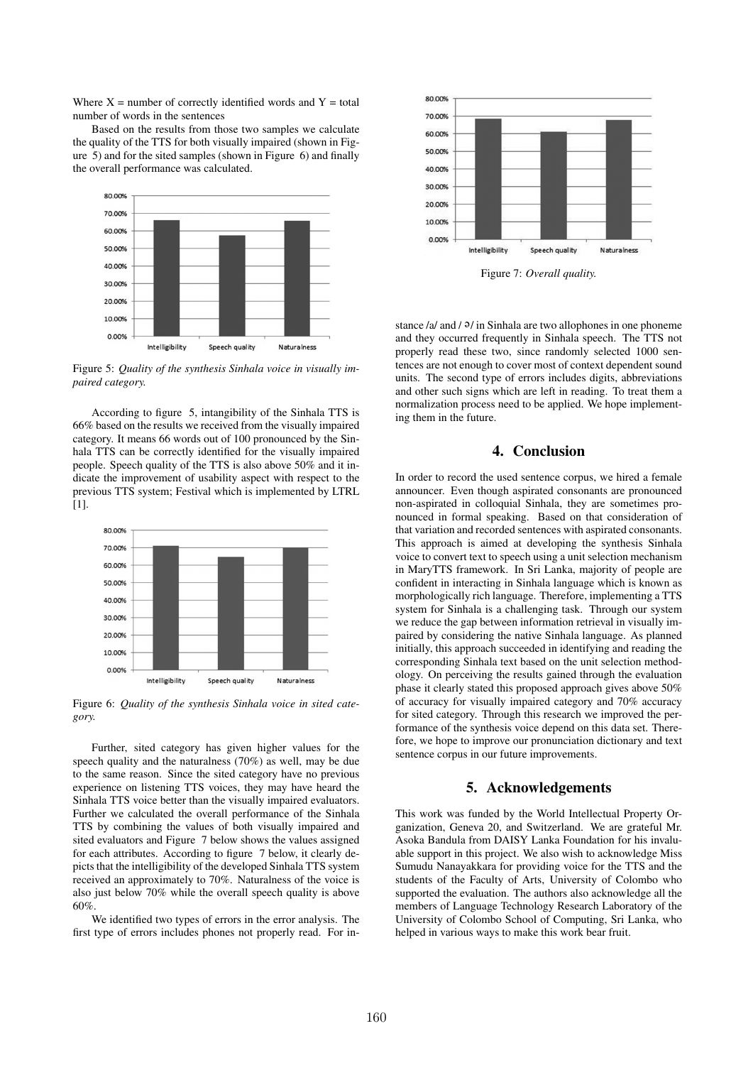Where  $X =$  number of correctly identified words and  $Y =$  total number of words in the sentences

Based on the results from those two samples we calculate the quality of the TTS for both visually impaired (shown in Figure 5) and for the sited samples (shown in Figure 6) and finally the overall performance was calculated.



Figure 5: *Quality of the synthesis Sinhala voice in visually impaired category.*

According to figure 5, intangibility of the Sinhala TTS is 66% based on the results we received from the visually impaired category. It means 66 words out of 100 pronounced by the Sinhala TTS can be correctly identified for the visually impaired people. Speech quality of the TTS is also above 50% and it indicate the improvement of usability aspect with respect to the previous TTS system; Festival which is implemented by LTRL [1].



Figure 6: *Quality of the synthesis Sinhala voice in sited category.*

Further, sited category has given higher values for the speech quality and the naturalness (70%) as well, may be due to the same reason. Since the sited category have no previous experience on listening TTS voices, they may have heard the Sinhala TTS voice better than the visually impaired evaluators. Further we calculated the overall performance of the Sinhala TTS by combining the values of both visually impaired and sited evaluators and Figure 7 below shows the values assigned for each attributes. According to figure 7 below, it clearly depicts that the intelligibility of the developed Sinhala TTS system received an approximately to 70%. Naturalness of the voice is also just below 70% while the overall speech quality is above 60%.

We identified two types of errors in the error analysis. The first type of errors includes phones not properly read. For in-



Figure 7: *Overall quality.*

stance /a/ and / $9$ / in Sinhala are two allophones in one phoneme and they occurred frequently in Sinhala speech. The TTS not properly read these two, since randomly selected 1000 sentences are not enough to cover most of context dependent sound units. The second type of errors includes digits, abbreviations and other such signs which are left in reading. To treat them a normalization process need to be applied. We hope implementing them in the future.

# 4. Conclusion

In order to record the used sentence corpus, we hired a female announcer. Even though aspirated consonants are pronounced non-aspirated in colloquial Sinhala, they are sometimes pronounced in formal speaking. Based on that consideration of that variation and recorded sentences with aspirated consonants. This approach is aimed at developing the synthesis Sinhala voice to convert text to speech using a unit selection mechanism in MaryTTS framework. In Sri Lanka, majority of people are confident in interacting in Sinhala language which is known as morphologically rich language. Therefore, implementing a TTS system for Sinhala is a challenging task. Through our system we reduce the gap between information retrieval in visually impaired by considering the native Sinhala language. As planned initially, this approach succeeded in identifying and reading the corresponding Sinhala text based on the unit selection methodology. On perceiving the results gained through the evaluation phase it clearly stated this proposed approach gives above 50% of accuracy for visually impaired category and 70% accuracy for sited category. Through this research we improved the performance of the synthesis voice depend on this data set. Therefore, we hope to improve our pronunciation dictionary and text sentence corpus in our future improvements.

# 5. Acknowledgements

This work was funded by the World Intellectual Property Organization, Geneva 20, and Switzerland. We are grateful Mr. Asoka Bandula from DAISY Lanka Foundation for his invaluable support in this project. We also wish to acknowledge Miss Sumudu Nanayakkara for providing voice for the TTS and the students of the Faculty of Arts, University of Colombo who supported the evaluation. The authors also acknowledge all the members of Language Technology Research Laboratory of the University of Colombo School of Computing, Sri Lanka, who helped in various ways to make this work bear fruit.